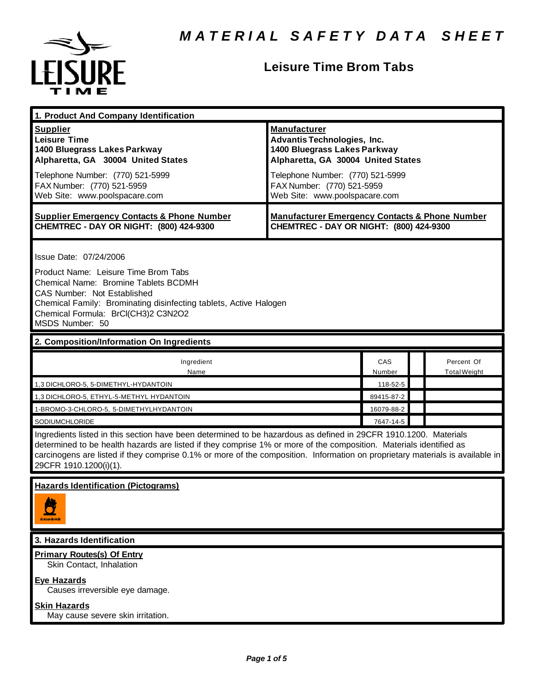

# **Leisure Time Brom Tabs**

| 1. Product And Company Identification                                                                                                                                                                                                                                                                                                                                                             |                                                                                                                                                                                                                                    |               |  |                                   |  |  |
|---------------------------------------------------------------------------------------------------------------------------------------------------------------------------------------------------------------------------------------------------------------------------------------------------------------------------------------------------------------------------------------------------|------------------------------------------------------------------------------------------------------------------------------------------------------------------------------------------------------------------------------------|---------------|--|-----------------------------------|--|--|
| <b>Supplier</b><br><b>Leisure Time</b><br>1400 Bluegrass Lakes Parkway<br>Alpharetta, GA 30004 United States<br>Telephone Number: (770) 521-5999<br>FAX Number: (770) 521-5959<br>Web Site: www.poolspacare.com                                                                                                                                                                                   | <b>Manufacturer</b><br><b>Advantis Technologies, Inc.</b><br>1400 Bluegrass Lakes Parkway<br>Alpharetta, GA 30004 United States<br>Telephone Number: (770) 521-5999<br>FAX Number: (770) 521-5959<br>Web Site: www.poolspacare.com |               |  |                                   |  |  |
| <b>Supplier Emergency Contacts &amp; Phone Number</b><br>CHEMTREC - DAY OR NIGHT: (800) 424-9300                                                                                                                                                                                                                                                                                                  | <b>Manufacturer Emergency Contacts &amp; Phone Number</b><br>CHEMTREC - DAY OR NIGHT: (800) 424-9300                                                                                                                               |               |  |                                   |  |  |
| Issue Date: 07/24/2006<br>Product Name: Leisure Time Brom Tabs<br>Chemical Name: Bromine Tablets BCDMH<br><b>CAS Number: Not Established</b><br>Chemical Family: Brominating disinfecting tablets, Active Halogen<br>Chemical Formula: BrCl(CH3)2 C3N2O2<br>MSDS Number: 50                                                                                                                       |                                                                                                                                                                                                                                    |               |  |                                   |  |  |
| 2. Composition/Information On Ingredients                                                                                                                                                                                                                                                                                                                                                         |                                                                                                                                                                                                                                    |               |  |                                   |  |  |
| Ingredient<br>Name                                                                                                                                                                                                                                                                                                                                                                                |                                                                                                                                                                                                                                    | CAS<br>Number |  | Percent Of<br><b>Total Weight</b> |  |  |
| 1,3 DICHLORO-5, 5-DIMETHYL-HYDANTOIN                                                                                                                                                                                                                                                                                                                                                              |                                                                                                                                                                                                                                    | 118-52-5      |  |                                   |  |  |
| 1,3 DICHLORO-5, ETHYL-5-METHYL HYDANTOIN                                                                                                                                                                                                                                                                                                                                                          |                                                                                                                                                                                                                                    | 89415-87-2    |  |                                   |  |  |
| 1-BROMO-3-CHLORO-5, 5-DIMETHYLHYDANTOIN                                                                                                                                                                                                                                                                                                                                                           |                                                                                                                                                                                                                                    | 16079-88-2    |  |                                   |  |  |
| SODIUMCHLORIDE                                                                                                                                                                                                                                                                                                                                                                                    |                                                                                                                                                                                                                                    | 7647-14-5     |  |                                   |  |  |
| Ingredients listed in this section have been determined to be hazardous as defined in 29CFR 1910.1200. Materials<br>determined to be health hazards are listed if they comprise 1% or more of the composition. Materials identified as<br>carcinogens are listed if they comprise 0.1% or more of the composition. Information on proprietary materials is available in<br>29CFR 1910.1200(i)(1). |                                                                                                                                                                                                                                    |               |  |                                   |  |  |
| <b>Hazards Identification (Pictograms)</b>                                                                                                                                                                                                                                                                                                                                                        |                                                                                                                                                                                                                                    |               |  |                                   |  |  |
|                                                                                                                                                                                                                                                                                                                                                                                                   |                                                                                                                                                                                                                                    |               |  |                                   |  |  |
| 3. Hazards Identification                                                                                                                                                                                                                                                                                                                                                                         |                                                                                                                                                                                                                                    |               |  |                                   |  |  |
| <b>Primary Routes(s) Of Entry</b><br>Skin Contact, Inhalation                                                                                                                                                                                                                                                                                                                                     |                                                                                                                                                                                                                                    |               |  |                                   |  |  |
| <b>Eye Hazards</b><br>Causes irreversible eye damage.                                                                                                                                                                                                                                                                                                                                             |                                                                                                                                                                                                                                    |               |  |                                   |  |  |
| <b>Skin Hazards</b><br>May cause severe skin irritation.                                                                                                                                                                                                                                                                                                                                          |                                                                                                                                                                                                                                    |               |  |                                   |  |  |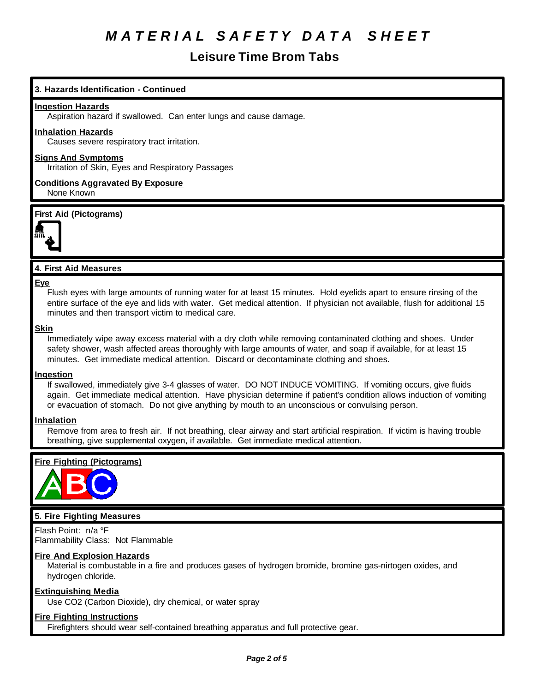# **Leisure Time Brom Tabs**

# **3. Hazards Identification - Continued**

#### **Ingestion Hazards**

Aspiration hazard if swallowed. Can enter lungs and cause damage.

#### **Inhalation Hazards**

Causes severe respiratory tract irritation.

#### **Signs And Symptoms**

Irritation of Skin, Eyes and Respiratory Passages

**Conditions Aggravated By Exposure** None Known

#### **First Aid (Pictograms)**



#### **4. First Aid Measures**

#### **Eye**

Flush eyes with large amounts of running water for at least 15 minutes. Hold eyelids apart to ensure rinsing of the entire surface of the eye and lids with water. Get medical attention. If physician not available, flush for additional 15 minutes and then transport victim to medical care.

#### **Skin**

Immediately wipe away excess material with a dry cloth while removing contaminated clothing and shoes. Under safety shower, wash affected areas thoroughly with large amounts of water, and soap if available, for at least 15 minutes. Get immediate medical attention. Discard or decontaminate clothing and shoes.

#### **Ingestion**

If swallowed, immediately give 3-4 glasses of water. DO NOT INDUCE VOMITING. If vomiting occurs, give fluids again. Get immediate medical attention. Have physician determine if patient's condition allows induction of vomiting or evacuation of stomach. Do not give anything by mouth to an unconscious or convulsing person.

#### **Inhalation**

Remove from area to fresh air. If not breathing, clear airway and start artificial respiration. If victim is having trouble breathing, give supplemental oxygen, if available. Get immediate medical attention.

### **Fire Fighting (Pictograms)**



# **5. Fire Fighting Measures**

Flash Point: n/a °F Flammability Class: Not Flammable

#### **Fire And Explosion Hazards**

Material is combustable in a fire and produces gases of hydrogen bromide, bromine gas-nirtogen oxides, and hydrogen chloride.

#### **Extinguishing Media**

Use CO2 (Carbon Dioxide), dry chemical, or water spray

#### **Fire Fighting Instructions**

Firefighters should wear self-contained breathing apparatus and full protective gear.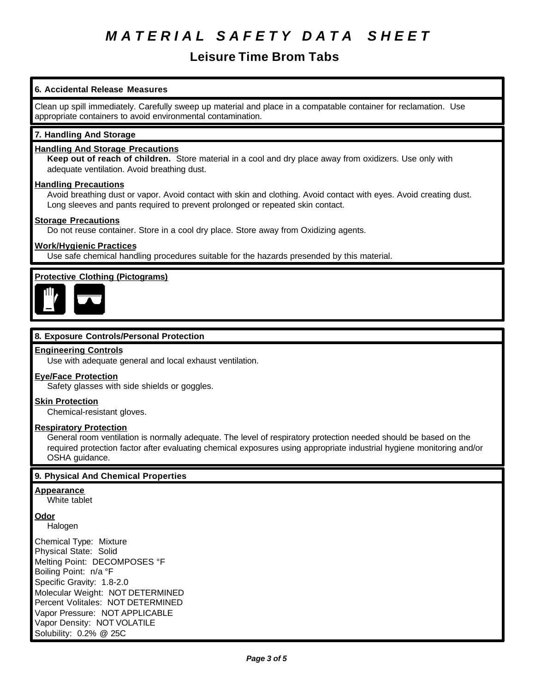# **Leisure Time Brom Tabs**

# **6. Accidental Release Measures**

Clean up spill immediately. Carefully sweep up material and place in a compatable container for reclamation. Use appropriate containers to avoid environmental contamination.

### **7. Handling And Storage**

### **Handling And Storage Precautions**

**Keep out of reach of children.** Store material in a cool and dry place away from oxidizers. Use only with adequate ventilation. Avoid breathing dust.

#### **Handling Precautions**

Avoid breathing dust or vapor. Avoid contact with skin and clothing. Avoid contact with eyes. Avoid creating dust. Long sleeves and pants required to prevent prolonged or repeated skin contact.

#### **Storage Precautions**

Do not reuse container. Store in a cool dry place. Store away from Oxidizing agents.

#### **Work/Hygienic Practices**

Use safe chemical handling procedures suitable for the hazards presended by this material.

# **Protective Clothing (Pictograms)**



# **8. Exposure Controls/Personal Protection**

#### **Engineering Controls**

Use with adequate general and local exhaust ventilation.

#### **Eye/Face Protection**

Safety glasses with side shields or goggles.

#### **Skin Protection**

Chemical-resistant gloves.

### **Respiratory Protection**

General room ventilation is normally adequate. The level of respiratory protection needed should be based on the required protection factor after evaluating chemical exposures using appropriate industrial hygiene monitoring and/or OSHA guidance.

#### **9. Physical And Chemical Properties**

#### **Appearance**

White tablet

**Odor**

Halogen

Chemical Type: Mixture Physical State: Solid Melting Point: DECOMPOSES °F Boiling Point: n/a °F Specific Gravity: 1.8-2.0 Molecular Weight: NOT DETERMINED Percent Volitales: NOT DETERMINED Vapor Pressure: NOT APPLICABLE Vapor Density: NOT VOLATILE Solubility: 0.2% @ 25C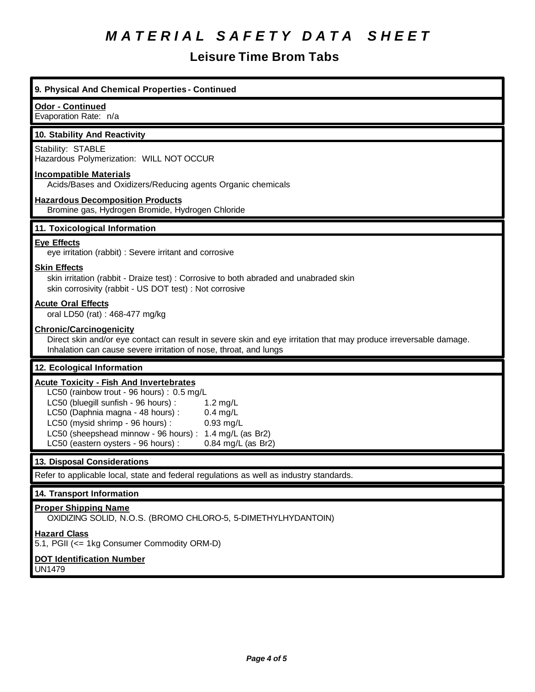# **Leisure Time Brom Tabs**

# **9. Physical And Chemical Properties - Continued**

#### **Odor - Continued**

Evaporation Rate: n/a

#### **10. Stability And Reactivity**

#### Stability: STABLE

Hazardous Polymerization: WILL NOT OCCUR

#### **Incompatible Materials**

Acids/Bases and Oxidizers/Reducing agents Organic chemicals

#### **Hazardous Decomposition Products**

Bromine gas, Hydrogen Bromide, Hydrogen Chloride

# **11. Toxicological Information**

#### **Eye Effects**

eye irritation (rabbit) : Severe irritant and corrosive

#### **Skin Effects**

skin irritation (rabbit - Draize test) : Corrosive to both abraded and unabraded skin skin corrosivity (rabbit - US DOT test) : Not corrosive

#### **Acute Oral Effects**

oral LD50 (rat) : 468-477 mg/kg

#### **Chronic/Carcinogenicity**

Direct skin and/or eye contact can result in severe skin and eye irritation that may produce irreversable damage. Inhalation can cause severe irritation of nose, throat, and lungs

# **12. Ecological Information**

#### **Acute Toxicity - Fish And Invertebrates**

LC50 (rainbow trout - 96 hours) : 0.5 mg/L LC50 (bluegill sunfish - 96 hours) : 1.2 mg/L LC50 (Daphnia magna - 48 hours) : 0.4 mg/L LC50 (mysid shrimp - 96 hours) : 0.93 mg/L LC50 (sheepshead minnow - 96 hours) : 1.4 mg/L (as Br2) LC50 (eastern oysters - 96 hours) : 0.84 mg/L (as Br2)

# **13. Disposal Considerations**

Refer to applicable local, state and federal regulations as well as industry standards.

#### **14. Transport Information**

### **Proper Shipping Name**

OXIDIZING SOLID, N.O.S. (BROMO CHLORO-5, 5-DIMETHYLHYDANTOIN)

**Hazard Class**

5.1, PGII (<= 1kg Consumer Commodity ORM-D)

#### **DOT Identification Number**

UN1479